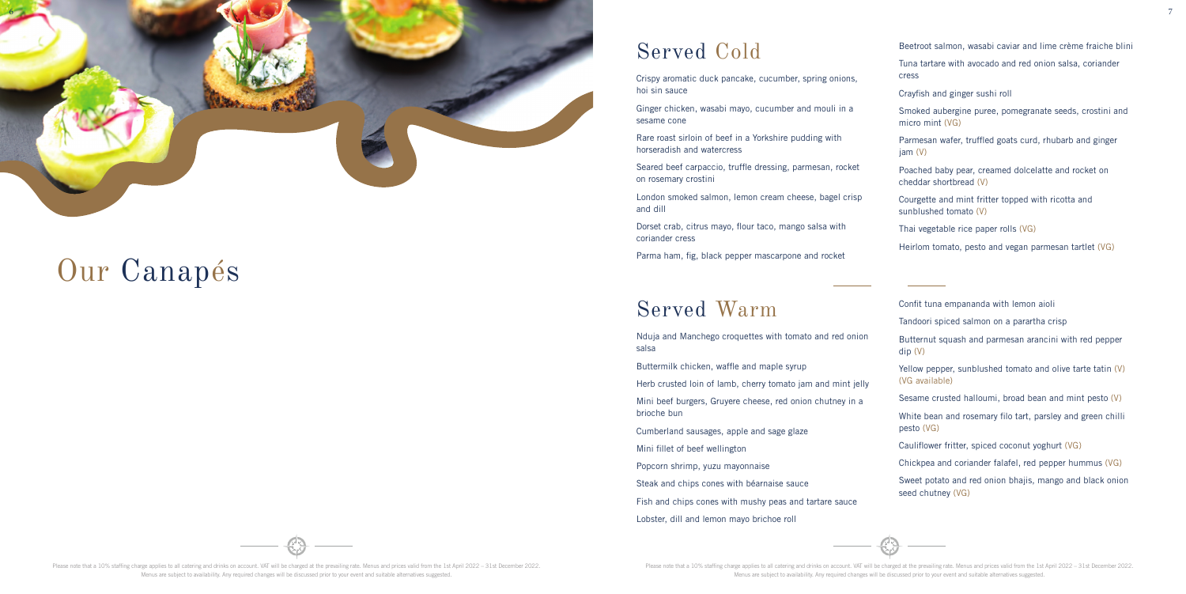Please note that a 10% staffing charge applies to all catering and drinks on account. VAT will be charged at the prevailing rate. Menus and prices valid from the 1st April 2022 – 31st December 2022. Menus are subject to availability. Any required changes will be discussed prior to your event and suitable alternatives suggested.

# Our Canap é s

### Served Cold

Crispy aromatic duck pancake, cucumber, spring onions, hoi sin sauce

Ginger chicken, wasabi mayo, cucumber and mouli in a sesame cone

Rare roast sirloin of beef in a Yorkshire pudding with horseradish and watercress

Seared beef carpaccio, truffle dressing, parmesan, rocket on rosemary crostini

London smoked salmon, lemon cream cheese, bagel crisp and dill

Dorset crab, citrus mayo, flour taco, mango salsa with coriander cress

Parma ham, fig, black pepper mascarpone and rocket

- Beetroot salmon, wasabi caviar and lime crème fraiche blini
- Tuna tartare with avocado and red onion salsa, coriander cress
- Crayfish and ginger sushi roll
- Smoked aubergine puree, pomegranate seeds, crostini and micro mint (VG)
- Parmesan wafer, truffled goats curd, rhubarb and ginger jam (V)
- Poached baby pear, creamed dolcelatte and rocket on cheddar shortbread (V)
- Courgette and mint fritter topped with ricotta and sunblushed tomato (V)
- Thai vegetable rice paper rolls (VG)
- Heirlom tomato, pesto and vegan parmesan tartlet (VG)

#### Served Warm

Nduja and Manchego croquettes with tomato and red onion salsa

Buttermilk chicken, waffle and maple syrup

Herb crusted loin of lamb, cherry tomato jam and mint jelly

Mini beef burgers, Gruyere cheese, red onion chutney in a brioche bun

Cumberland sausages, apple and sage glaze

Mini fillet of beef wellington

Popcorn shrimp, yuzu mayonnaise

Steak and chips cones with béarnaise sauce

Fish and chips cones with mushy peas and tartare sauce

Lobster, dill and lemon mayo brichoe roll



Confit tuna empananda with lemon aioli

- Tandoori spiced salmon on a parartha crisp
- Butternut squash and parmesan arancini with red pepper dip (V)
- Yellow pepper, sunblushed tomato and olive tarte tatin (V) (VG available)
- Sesame crusted halloumi, broad bean and mint pesto (V)
- White bean and rosemary filo tart, parsley and green chilli pesto (VG)
- Cauliflower fritter, spiced coconut yoghurt (VG)
- Chickpea and coriander falafel, red pepper hummus (VG)
- Sweet potato and red onion bhajis, mango and black onion seed chutney (VG)